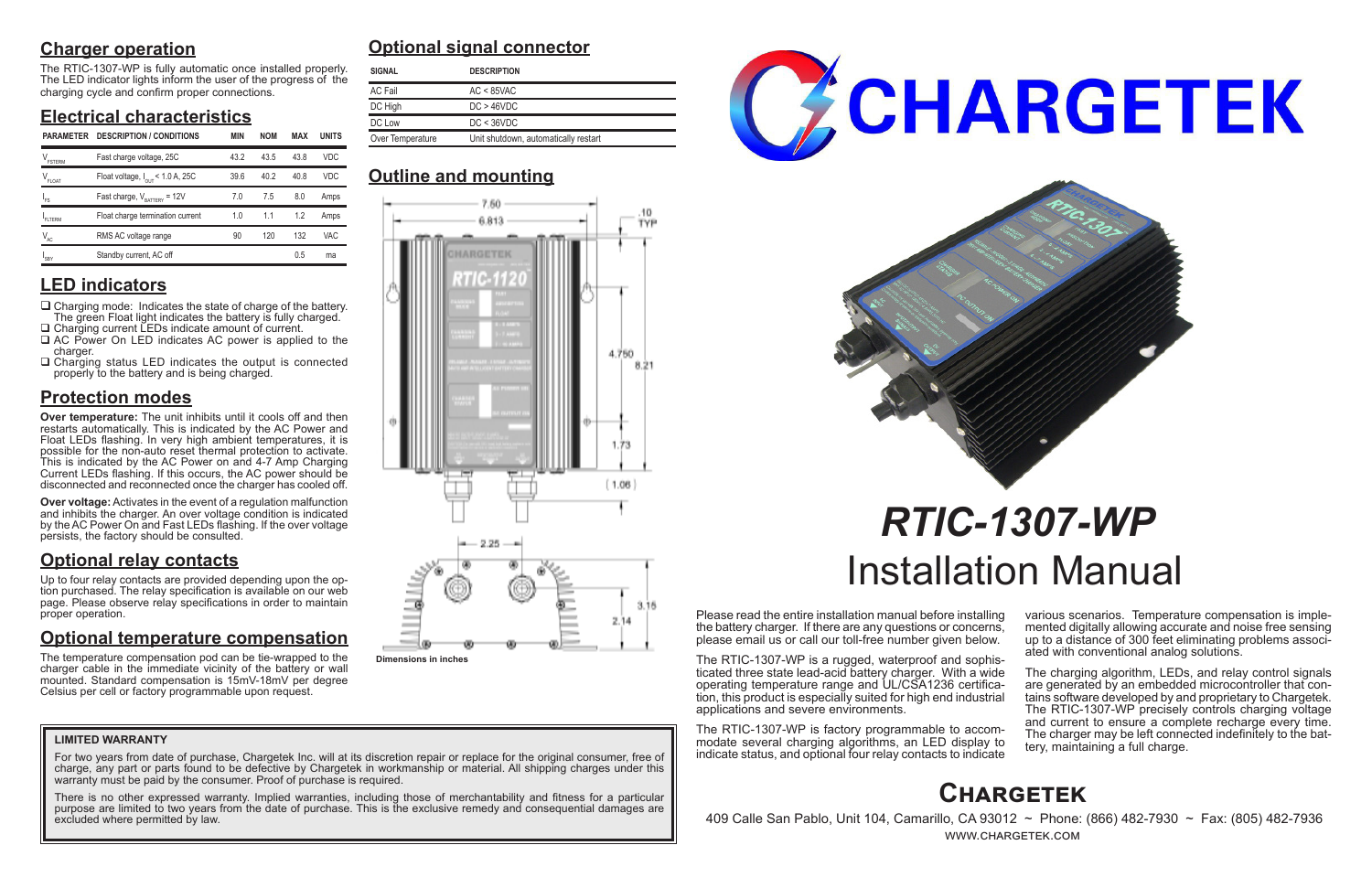## **Charger operation**

The RTIC-1307-WP is fully automatic once installed properly. The LED indicator lights inform the user of the progress of the charging cycle and confirm proper connections.

## **Electrical characteristics**

## **LED indicators**

- $\Box$  Charging mode: Indicates the state of charge of the battery. The green Float light indicates the battery is fully charged. □ Charging current LEDs indicate amount of current.
- □ AC Power On LED indicates AC power is applied to the charger.
- $\Box$  Charging status LED indicates the output is connected properly to the battery and is being charged.

## **Protection modes**

**Over temperature:** The unit inhibits until it cools off and then restarts automatically. This is indicated by the AC Power and Float LEDs flashing. In very high ambient temperatures, it is possible for the non-auto reset thermal protection to activate. This is indicated by the AC Power on and 4-7 Amp Charging Current LEDs flashing. If this occurs, the AC power should be disconnected and reconnected once the charger has cooled off.

**Over voltage:** Activates in the event of a regulation malfunction and inhibits the charger. An over voltage condition is indicated by the AC Power On and Fast LEDs flashing. If the over voltage persists, the factory should be consulted.

## **Optional relay contacts**

Up to four relay contacts are provided depending upon the option purchased. The relay specification is available on our web page. Please observe relay specifications in order to maintain proper operation.

> The charging algorithm, LEDs, and relay control signals are generated by an embedded microcontroller that contains software developed by and proprietary to Chargetek. The RTIC-1307-WP precisely controls charging voltage and current to ensure a complete recharge every time. The charger may be left connected indefinitely to the bat- tery, maintaining a full charge.

## **Optional temperature compensation**

For two years from date of purchase, Chargetek Inc. will at its discretion repair or replace for the original consumer, free of charge, any part or parts found to be defective by Chargetek in workmanship or material. All shipping charges under this warranty must be paid by the consumer. Proof of purchase is required.

The temperature compensation pod can be tie-wrapped to the charger cable in the immediate vicinity of the battery or wall mounted. Standard compensation is 15mV-18mV per degree Celsius per cell or factory programmable upon request.

Please read the entire installation manual before installing the battery charger. If there are any questions or concerns, please email us or call our toll-free number given below.

The RTIC-1307-WP is a rugged, waterproof and sophisticated three state lead-acid battery charger. With a wide tion, this product is especially suited for high end industrial applications and severe environments.

The RTIC-1307-WP is factory programmable to accommodate several charging algorithms, an LED display to indicate status, and optional four relay contacts to indicate various scenarios. Temperature compensation is imple- mented digitally allowing accurate and noise free sensing up to a distance of 300 feet eliminating problems associ- ated with conventional analog solutions.

# *RTIC-1307-WP* Installation Manual

## **Optional signal connector**

## **Outline and mounting**

## **Chargetek**

 409 Calle San Pablo, Unit 104, Camarillo, CA 93012 ~ Phone: (866) 482-7930 ~ Fax: (805) 482-7936 www.chargetek.com

#### **LIMITED WARRANTY**

There is no other expressed warranty. Implied warranties, including those of merchantability and fitness for a particular purpose are limited to two years from the date of purchase. This is the exclusive remedy and consequential damages are excluded where permitted by law.





| <b>SIGNAL</b>    | <b>DESCRIPTION</b>                   |  |  |
|------------------|--------------------------------------|--|--|
| AC Fail          | $AC < 85$ VAC                        |  |  |
| DC High          | DC > 46 VDC                          |  |  |
| DC Low           | DC < 36 VDC                          |  |  |
| Over Temperature | Unit shutdown, automatically restart |  |  |

| <b>PARAMETER</b>      | <b>DESCRIPTION / CONDITIONS</b>              | <b>MIN</b> | <b>NOM</b> | <b>MAX</b> | <b>UNITS</b> | Over Temperature<br>Unit shutdown, automatically restart |  |  |
|-----------------------|----------------------------------------------|------------|------------|------------|--------------|----------------------------------------------------------|--|--|
| $V_{\texttt{FSTERM}}$ | Fast charge voltage, 25C                     | 43.2       | 43.5       | 43.8       | <b>VDC</b>   |                                                          |  |  |
| $V_{_{\text{FLOAT}}}$ | Float voltage, $I_{\text{OUT}}$ < 1.0 A, 25C | 39.6       | 40.2       | 40.8       | <b>VDC</b>   | <b>Outline and mounting</b>                              |  |  |
|                       | Fast charge, $V_{\text{BATERY}} = 12V$       | 7.0        | 7.5        | 8.0        | Amps         | 7.60.                                                    |  |  |
| <b>FLTERM</b>         | Float charge termination current             | 1.0        | 1.1        | 1.2        | Amps         | 6.813                                                    |  |  |
| $V_{AC}$              | RMS AC voltage range                         | 90         | 120        | 132        | <b>VAC</b>   |                                                          |  |  |
| <sup>1</sup> SBY      | Standby current, AC off                      |            |            | 0.5        | ma           | _________                                                |  |  |



**Dimensions in inches**